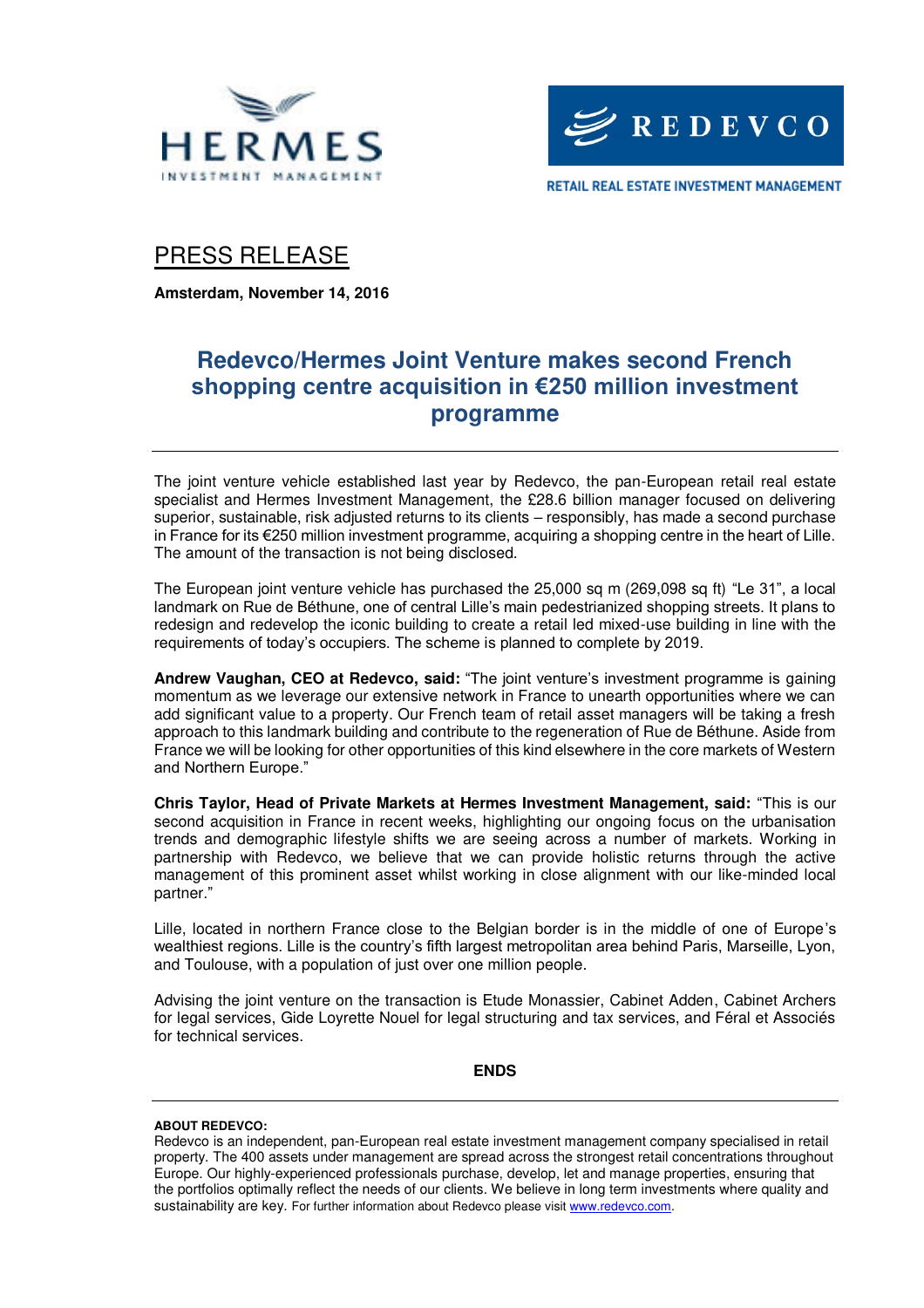



PRESS RELEASE

**Amsterdam, November 14, 2016** 

## **Redevco/Hermes Joint Venture makes second French shopping centre acquisition in €250 million investment programme**

The joint venture vehicle established last year by Redevco, the pan-European retail real estate specialist and Hermes Investment Management, the £28.6 billion manager focused on delivering superior, sustainable, risk adjusted returns to its clients – responsibly, has made a second purchase in France for its €250 million investment programme, acquiring a shopping centre in the heart of Lille. The amount of the transaction is not being disclosed.

The European joint venture vehicle has purchased the 25,000 sq m (269,098 sq ft) "Le 31", a local landmark on Rue de Béthune, one of central Lille's main pedestrianized shopping streets. It plans to redesign and redevelop the iconic building to create a retail led mixed-use building in line with the requirements of today's occupiers. The scheme is planned to complete by 2019.

**Andrew Vaughan, CEO at Redevco, said:** "The joint venture's investment programme is gaining momentum as we leverage our extensive network in France to unearth opportunities where we can add significant value to a property. Our French team of retail asset managers will be taking a fresh approach to this landmark building and contribute to the regeneration of Rue de Béthune. Aside from France we will be looking for other opportunities of this kind elsewhere in the core markets of Western and Northern Europe."

**Chris Taylor, Head of Private Markets at Hermes Investment Management, said:** "This is our second acquisition in France in recent weeks, highlighting our ongoing focus on the urbanisation trends and demographic lifestyle shifts we are seeing across a number of markets. Working in partnership with Redevco, we believe that we can provide holistic returns through the active management of this prominent asset whilst working in close alignment with our like-minded local partner."

Lille, located in northern France close to the Belgian border is in the middle of one of Europe's wealthiest regions. Lille is the country's fifth largest metropolitan area behind Paris, Marseille, Lyon, and Toulouse, with a population of just over one million people.

Advising the joint venture on the transaction is Etude Monassier, Cabinet Adden, Cabinet Archers for legal services, Gide Loyrette Nouel for legal structuring and tax services, and Féral et Associés for technical services.

**ENDS** 

### **ABOUT REDEVCO:**

Redevco is an independent, pan-European real estate investment management company specialised in retail property. The 400 assets under management are spread across the strongest retail concentrations throughout Europe. Our highly-experienced professionals purchase, develop, let and manage properties, ensuring that the portfolios optimally reflect the needs of our clients. We believe in long term investments where quality and sustainability are key. For further information about Redevco please visit www.redevco.com.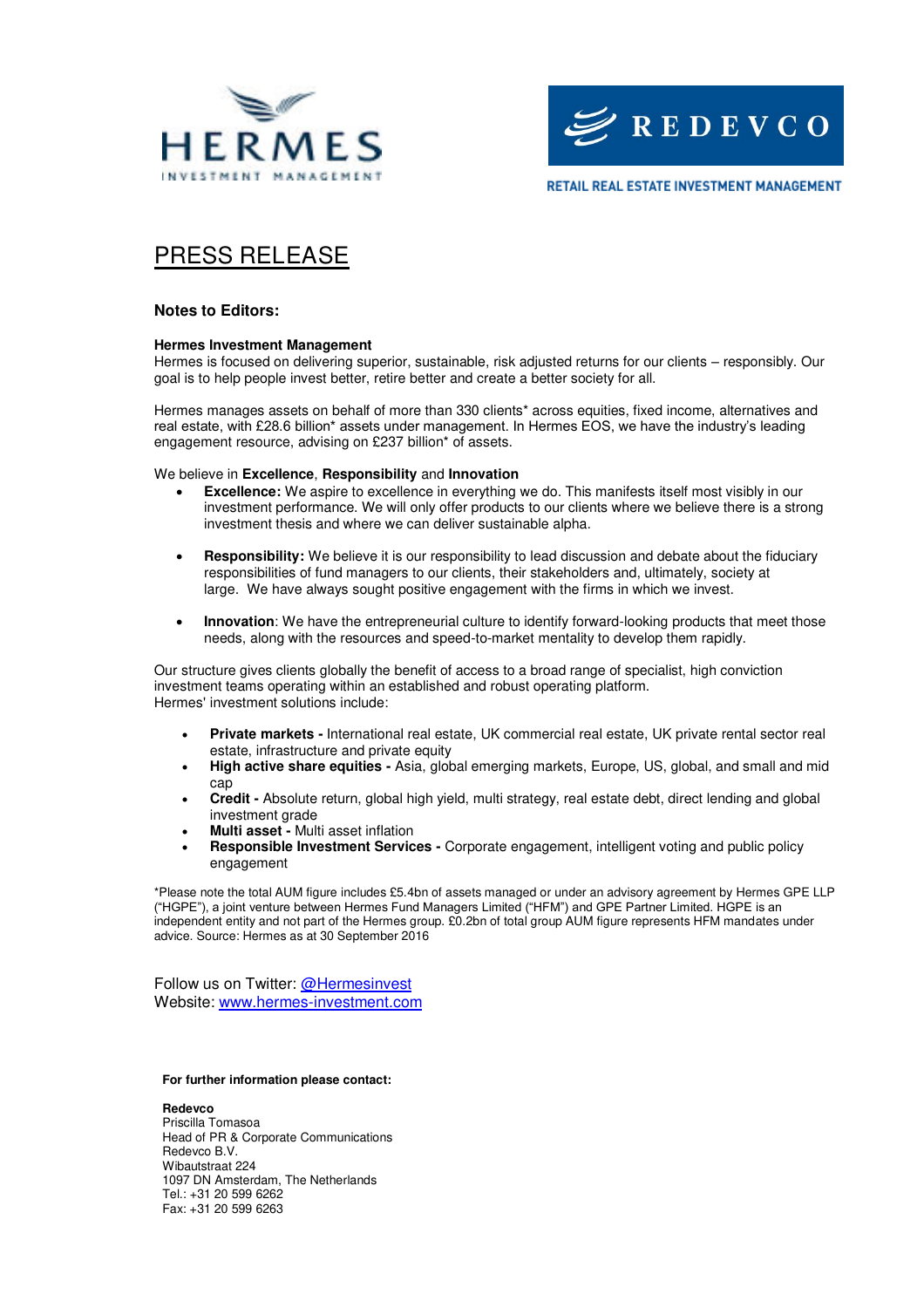



**RETAIL REAL ESTATE INVESTMENT MANAGEMENT** 

# PRESS RELEASE

### **Notes to Editors:**

#### **Hermes Investment Management**

Hermes is focused on delivering superior, sustainable, risk adjusted returns for our clients – responsibly. Our goal is to help people invest better, retire better and create a better society for all.

Hermes manages assets on behalf of more than 330 clients\* across equities, fixed income, alternatives and real estate, with £28.6 billion\* assets under management. In Hermes EOS, we have the industry's leading engagement resource, advising on £237 billion\* of assets.

We believe in **Excellence**, **Responsibility** and **Innovation**

- **Excellence:** We aspire to excellence in everything we do. This manifests itself most visibly in our investment performance. We will only offer products to our clients where we believe there is a strong investment thesis and where we can deliver sustainable alpha.
- **Responsibility:** We believe it is our responsibility to lead discussion and debate about the fiduciary responsibilities of fund managers to our clients, their stakeholders and, ultimately, society at large. We have always sought positive engagement with the firms in which we invest.
- **Innovation**: We have the entrepreneurial culture to identify forward-looking products that meet those needs, along with the resources and speed-to-market mentality to develop them rapidly.

Our structure gives clients globally the benefit of access to a broad range of specialist, high conviction investment teams operating within an established and robust operating platform. Hermes' investment solutions include:

- **Private markets** International real estate, UK commercial real estate, UK private rental sector real estate, infrastructure and private equity
- **High active share equities** Asia, global emerging markets, Europe, US, global, and small and mid cap
- **Credit** Absolute return, global high yield, multi strategy, real estate debt, direct lending and global investment grade
- **Multi asset** Multi asset inflation
- **Responsible Investment Services** Corporate engagement, intelligent voting and public policy engagement

\*Please note the total AUM figure includes £5.4bn of assets managed or under an advisory agreement by Hermes GPE LLP ("HGPE"), a joint venture between Hermes Fund Managers Limited ("HFM") and GPE Partner Limited. HGPE is an independent entity and not part of the Hermes group. £0.2bn of total group AUM figure represents HFM mandates under advice. Source: Hermes as at 30 September 2016

Follow us on Twitter: @Hermesinvest Website: [www.hermes-investment.com](http://www.hermes-investment.com/) 

#### **For further information please contact:**

**Redevco**  Priscilla Tomasoa Head of PR & Corporate Communications Redevco B.V. Wibautstraat 224 1097 DN Amsterdam, The Netherlands Tel.: +31 20 599 6262 Fax: +31 20 599 6263